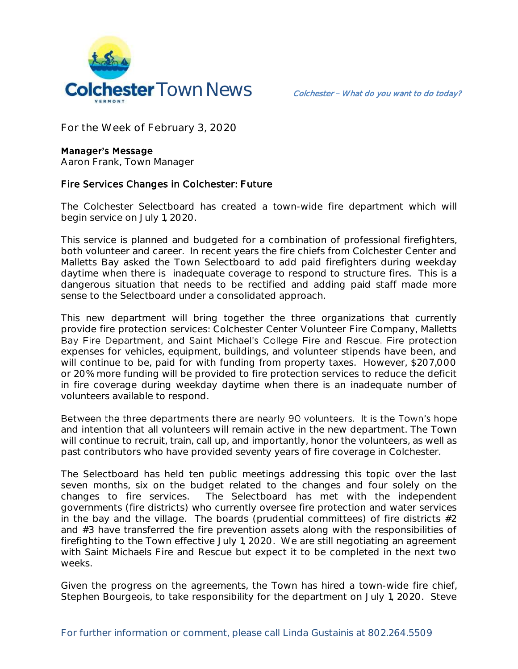

**For the Week of February 3, 2020**

## **Manager's Message**

**Aaron Frank, Town Manager**

## Fire Services Changes in Colchester: Future

The Colchester Selectboard has created a town-wide fire department which will begin service on July 1, 2020.

This service is planned and budgeted for a combination of professional firefighters, both volunteer and career. In recent years the fire chiefs from Colchester Center and Malletts Bay asked the Town Selectboard to add paid firefighters during weekday daytime when there is inadequate coverage to respond to structure fires. This is a dangerous situation that needs to be rectified and adding paid staff made more sense to the Selectboard under a consolidated approach.

This new department will bring together the three organizations that currently provide fire protection services: Colchester Center Volunteer Fire Company, Malletts Bay Fire Department, and Saint Michael's College Fire and Rescue. Fire protection expenses for vehicles, equipment, buildings, and volunteer stipends have been, and will continue to be, paid for with funding from property taxes. However, \$207,000 or 20% more funding will be provided to fire protection services to reduce the deficit in fire coverage during weekday daytime when there is an inadequate number of volunteers available to respond.

Between the three departments there are nearly 90 volunteers. It is the Town's hope and intention that all volunteers will remain active in the new department. The Town will continue to recruit, train, call up, and importantly, honor the volunteers, as well as past contributors who have provided seventy years of fire coverage in Colchester.

The Selectboard has held ten public meetings addressing this topic over the last seven months, six on the budget related to the changes and four solely on the changes to fire services. The Selectboard has met with the independent governments (fire districts) who currently oversee fire protection and water services in the bay and the village. The boards (prudential committees) of fire districts  $\#2$ and #3 have transferred the fire prevention assets along with the responsibilities of firefighting to the Town effective July 1, 2020. We are still negotiating an agreement with Saint Michaels Fire and Rescue but expect it to be completed in the next two weeks.

Given the progress on the agreements, the Town has hired a town-wide fire chief, Stephen Bourgeois, to take responsibility for the department on July 1, 2020. Steve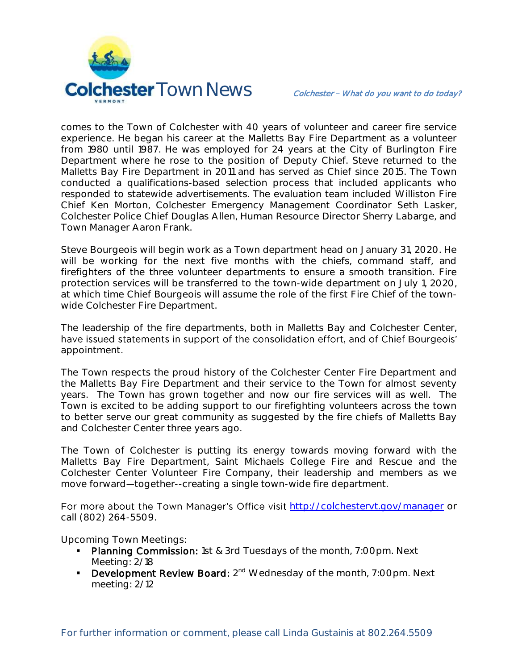

comes to the Town of Colchester with 40 years of volunteer and career fire service experience. He began his career at the Malletts Bay Fire Department as a volunteer from 1980 until 1987. He was employed for 24 years at the City of Burlington Fire Department where he rose to the position of Deputy Chief. Steve returned to the Malletts Bay Fire Department in 2011 and has served as Chief since 2015. The Town conducted a qualifications-based selection process that included applicants who responded to statewide advertisements. The evaluation team included Williston Fire Chief Ken Morton, Colchester Emergency Management Coordinator Seth Lasker, Colchester Police Chief Douglas Allen, Human Resource Director Sherry Labarge, and Town Manager Aaron Frank.

Steve Bourgeois will begin work as a Town department head on January 31, 2020. He will be working for the next five months with the chiefs, command staff, and firefighters of the three volunteer departments to ensure a smooth transition. Fire protection services will be transferred to the town-wide department on July 1, 2020, at which time Chief Bourgeois will assume the role of the first Fire Chief of the townwide Colchester Fire Department.

The leadership of the fire departments, both in Malletts Bay and Colchester Center, have issued statements in support of the consolidation effort, and of Chief Bourgeois' appointment.

The Town respects the proud history of the Colchester Center Fire Department and the Malletts Bay Fire Department and their service to the Town for almost seventy years. The Town has grown together and now our fire services will as well. The Town is excited to be adding support to our firefighting volunteers across the town to better serve our great community as suggested by the fire chiefs of Malletts Bay and Colchester Center three years ago.

The Town of Colchester is putting its energy towards moving forward with the Malletts Bay Fire Department, Saint Michaels College Fire and Rescue and the Colchester Center Volunteer Fire Company, their leadership and members as we move forward-together--creating a single town-wide fire department.

For more about the Town Manager's Office visit <http://colchestervt.gov/manager> or call (802) 264-5509.

**Upcoming Town Meetings:** 

- Planning Commission: 1st & 3rd Tuesdays of the month, 7:00pm. Next Meeting: 2/18
- **Development Review Board:** 2<sup>nd</sup> Wednesday of the month, 7:00pm. Next meeting: 2/12